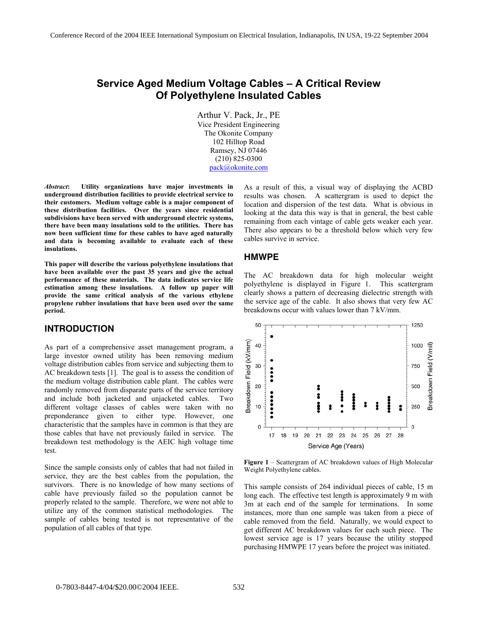# **Service Aged Medium Voltage Cables – A Critical Review Of Polyethylene Insulated Cables**

Arthur V. Pack, Jr., PE Vice President Engineering The Okonite Company 102 Hilltop Road Ramsey, NJ 07446 (210) 825-0300 pack@okonite.com

*Abstract***: Utility organizations have major investments in underground distribution facilities to provide electrical service to their customers. Medium voltage cable is a major component of these distribution facilities. Over the years since residential subdivisions have been served with underground electric systems, there have been many insulations sold to the utilities. There has now been sufficient time for these cables to have aged naturally and data is becoming available to evaluate each of these insulations.**

**This paper will describe the various polyethylene insulations that have been available over the past 35 years and give the actual performance of these materials. The data indicates service life estimation among these insulations. A follow up paper will provide the same critical analysis of the various ethylene propylene rubber insulations that have been used over the same period.** 

#### **INTRODUCTION**

As part of a comprehensive asset management program, a large investor owned utility has been removing medium voltage distribution cables from service and subjecting them to AC breakdown tests [1]. The goal is to assess the condition of the medium voltage distribution cable plant. The cables were randomly removed from disparate parts of the service territory and include both jacketed and unjacketed cables. Two different voltage classes of cables were taken with no preponderance given to either type. However, one characteristic that the samples have in common is that they are those cables that have not previously failed in service. The breakdown test methodology is the AEIC high voltage time test.

Since the sample consists only of cables that had not failed in service, they are the best cables from the population, the survivors. There is no knowledge of how many sections of cable have previously failed so the population cannot be properly related to the sample. Therefore, we were not able to utilize any of the common statistical methodologies. The sample of cables being tested is not representative of the population of all cables of that type.

As a result of this, a visual way of displaying the ACBD results was chosen. A scattergram is used to depict the location and dispersion of the test data. What is obvious in looking at the data this way is that in general, the best cable remaining from each vintage of cable gets weaker each year. There also appears to be a threshold below which very few cables survive in service.

#### **HMWPE**

The AC breakdown data for high molecular weight polyethylene is displayed in Figure 1. This scattergram clearly shows a pattern of decreasing dielectric strength with the service age of the cable. It also shows that very few AC breakdowns occur with values lower than 7 kV/mm.



**Figure 1** – Scattergram of AC breakdown values of High Molecular Weight Polyethylene cables.

This sample consists of 264 individual pieces of cable, 15 m long each. The effective test length is approximately 9 m with 3m at each end of the sample for terminations. In some instances, more than one sample was taken from a piece of cable removed from the field. Naturally, we would expect to get different AC breakdown values for each such piece. The lowest service age is 17 years because the utility stopped purchasing HMWPE 17 years before the project was initiated.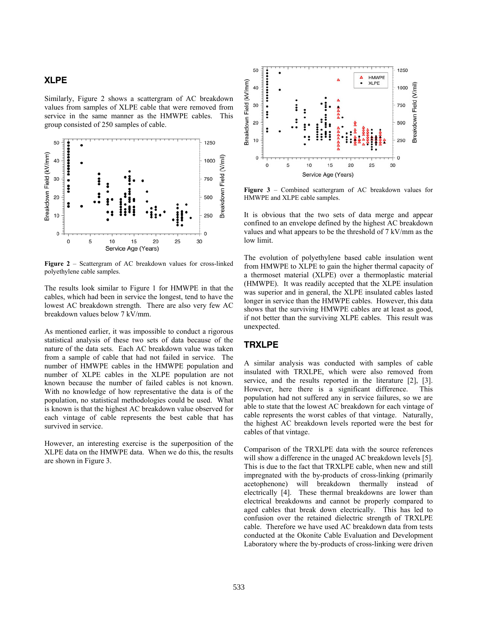#### **XLPE**

Similarly, Figure 2 shows a scattergram of AC breakdown values from samples of XLPE cable that were removed from service in the same manner as the HMWPE cables. This group consisted of 250 samples of cable.



**Figure 2** – Scattergram of AC breakdown values for cross-linked polyethylene cable samples.

The results look similar to Figure 1 for HMWPE in that the cables, which had been in service the longest, tend to have the lowest AC breakdown strength. There are also very few AC breakdown values below 7 kV/mm.

As mentioned earlier, it was impossible to conduct a rigorous statistical analysis of these two sets of data because of the nature of the data sets. Each AC breakdown value was taken from a sample of cable that had not failed in service. The number of HMWPE cables in the HMWPE population and number of XLPE cables in the XLPE population are not known because the number of failed cables is not known. With no knowledge of how representative the data is of the population, no statistical methodologies could be used. What is known is that the highest AC breakdown value observed for each vintage of cable represents the best cable that has survived in service.

However, an interesting exercise is the superposition of the XLPE data on the HMWPE data. When we do this, the results are shown in Figure 3.



**Figure 3** – Combined scattergram of AC breakdown values for HMWPE and XLPE cable samples.

It is obvious that the two sets of data merge and appear confined to an envelope defined by the highest AC breakdown values and what appears to be the threshold of 7 kV/mm as the low limit.

The evolution of polyethylene based cable insulation went from HMWPE to XLPE to gain the higher thermal capacity of a thermoset material (XLPE) over a thermoplastic material (HMWPE). It was readily accepted that the XLPE insulation was superior and in general, the XLPE insulated cables lasted longer in service than the HMWPE cables. However, this data shows that the surviving HMWPE cables are at least as good, if not better than the surviving XLPE cables. This result was unexpected.

# **TRXLPE**

A similar analysis was conducted with samples of cable insulated with TRXLPE, which were also removed from service, and the results reported in the literature [2], [3]. However, here there is a significant difference. This population had not suffered any in service failures, so we are able to state that the lowest AC breakdown for each vintage of cable represents the worst cables of that vintage. Naturally, the highest AC breakdown levels reported were the best for cables of that vintage.

Comparison of the TRXLPE data with the source references will show a difference in the unaged AC breakdown levels [5]. This is due to the fact that TRXLPE cable, when new and still impregnated with the by-products of cross-linking (primarily acetophenone) will breakdown thermally instead of electrically [4]. These thermal breakdowns are lower than electrical breakdowns and cannot be properly compared to aged cables that break down electrically. This has led to confusion over the retained dielectric strength of TRXLPE cable. Therefore we have used AC breakdown data from tests conducted at the Okonite Cable Evaluation and Development Laboratory where the by-products of cross-linking were driven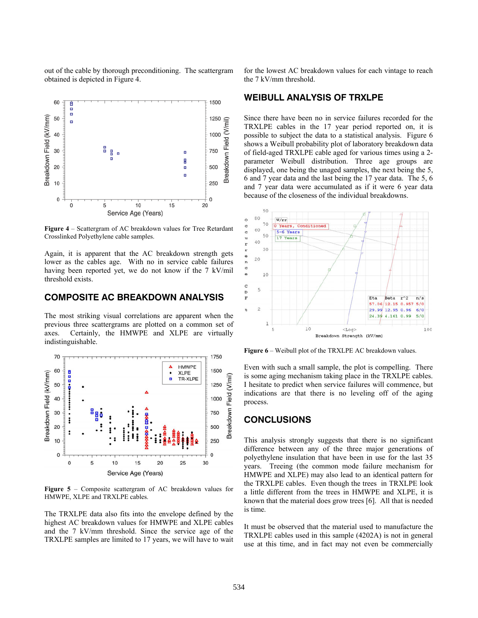out of the cable by thorough preconditioning. The scattergram obtained is depicted in Figure 4.



**Figure 4** – Scattergram of AC breakdown values for Tree Retardant Crosslinked Polyethylene cable samples.

Again, it is apparent that the AC breakdown strength gets lower as the cables age. With no in service cable failures having been reported yet, we do not know if the 7 kV/mil threshold exists.

# **COMPOSITE AC BREAKDOWN ANALYSIS**

The most striking visual correlations are apparent when the previous three scattergrams are plotted on a common set of axes. Certainly, the HMWPE and XLPE are virtually indistinguishable.



**Figure 5** – Composite scattergram of AC breakdown values for HMWPE, XLPE and TRXLPE cables.

The TRXLPE data also fits into the envelope defined by the highest AC breakdown values for HMWPE and XLPE cables and the 7 kV/mm threshold. Since the service age of the TRXLPE samples are limited to 17 years, we will have to wait

for the lowest AC breakdown values for each vintage to reach the 7 kV/mm threshold.

#### **WEIBULL ANALYSIS OF TRXLPE**

Since there have been no in service failures recorded for the TRXLPE cables in the 17 year period reported on, it is possible to subject the data to a statistical analysis. Figure 6 shows a Weibull probability plot of laboratory breakdown data of field-aged TRXLPE cable aged for various times using a 2 parameter Weibull distribution. Three age groups are displayed, one being the unaged samples, the next being the 5, 6 and 7 year data and the last being the 17 year data. The 5, 6 and 7 year data were accumulated as if it were 6 year data because of the closeness of the individual breakdowns.



**Figure 6** – Weibull plot of the TRXLPE AC breakdown values.

Even with such a small sample, the plot is compelling. There is some aging mechanism taking place in the TRXLPE cables. I hesitate to predict when service failures will commence, but indications are that there is no leveling off of the aging process.

#### **CONCLUSIONS**

This analysis strongly suggests that there is no significant difference between any of the three major generations of polyethylene insulation that have been in use for the last 35 years. Treeing (the common mode failure mechanism for HMWPE and XLPE) may also lead to an identical pattern for the TRXLPE cables. Even though the trees in TRXLPE look a little different from the trees in HMWPE and XLPE, it is known that the material does grow trees [6]. All that is needed is time.

It must be observed that the material used to manufacture the TRXLPE cables used in this sample (4202A) is not in general use at this time, and in fact may not even be commercially